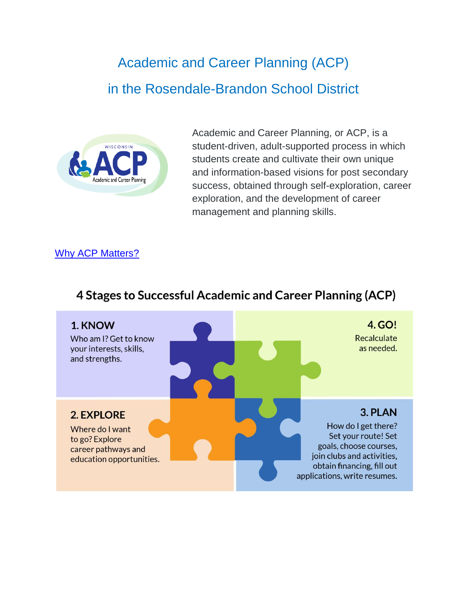# Academic and Career Planning (ACP) in the Rosendale-Brandon School District



Academic and Career Planning, or ACP, is a student-driven, adult-supported process in which students create and cultivate their own unique and information-based visions for post secondary success, obtained through self-exploration, career exploration, and the development of career management and planning skills.

### [Why ACP Matters?](https://www.youtube.com/watch?v=tpXQIKzgya0)

#### 1. KNOW 4. GO! Recalculate Who am I? Get to know as needed. your interests, skills, and strengths. 3. PLAN **2. EXPLORE** How do I get there? Where do I want Set your route! Set to go? Explore goals, choose courses, career pathways and join clubs and activities, education opportunities. obtain financing, fill out applications, write resumes.

# 4 Stages to Successful Academic and Career Planning (ACP)